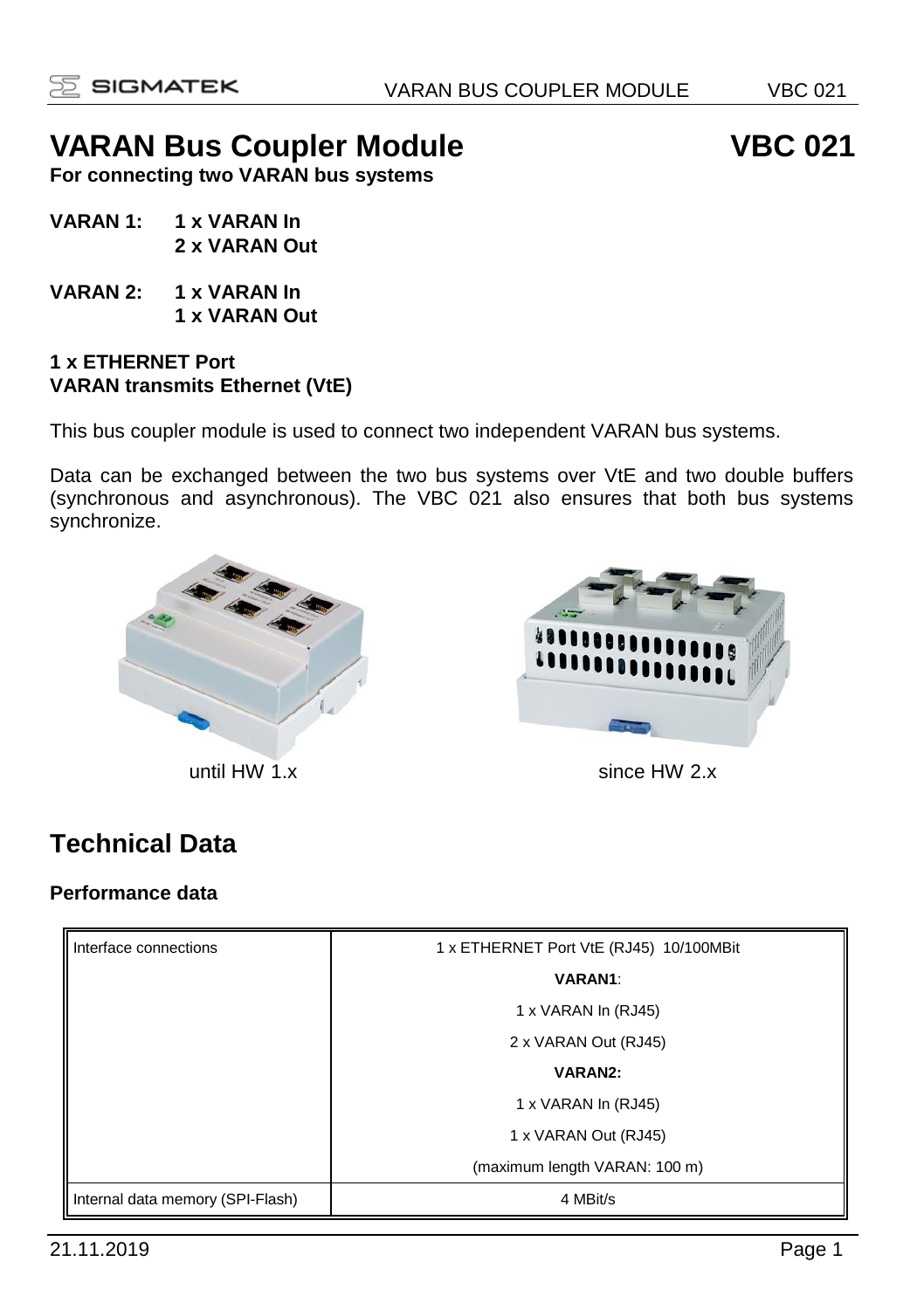# VARAN Bus Coupler Module VBC 021

**For connecting two VARAN bus systems**

- **VARAN 1: 1 x VARAN In 2 x VARAN Out**
- **VARAN 2: 1 x VARAN In 1 x VARAN Out**

#### **1 x ETHERNET Port VARAN transmits Ethernet (VtE)**

This bus coupler module is used to connect two independent VARAN bus systems.

Data can be exchanged between the two bus systems over VtE and two double buffers (synchronous and asynchronous). The VBC 021 also ensures that both bus systems synchronize.



until HW 1.x since HW 2.x

# **Technical Data**

#### **Performance data**

| Interface connections            | 1 x ETHERNET Port VtE (RJ45) 10/100MBit |
|----------------------------------|-----------------------------------------|
|                                  | <b>VARAN1:</b>                          |
|                                  | 1 x VARAN In (RJ45)                     |
|                                  | 2 x VARAN Out (RJ45)                    |
|                                  | VARAN2:                                 |
|                                  | 1 x VARAN In (RJ45)                     |
|                                  | 1 x VARAN Out (RJ45)                    |
|                                  | (maximum length VARAN: 100 m)           |
| Internal data memory (SPI-Flash) | 4 MBit/s                                |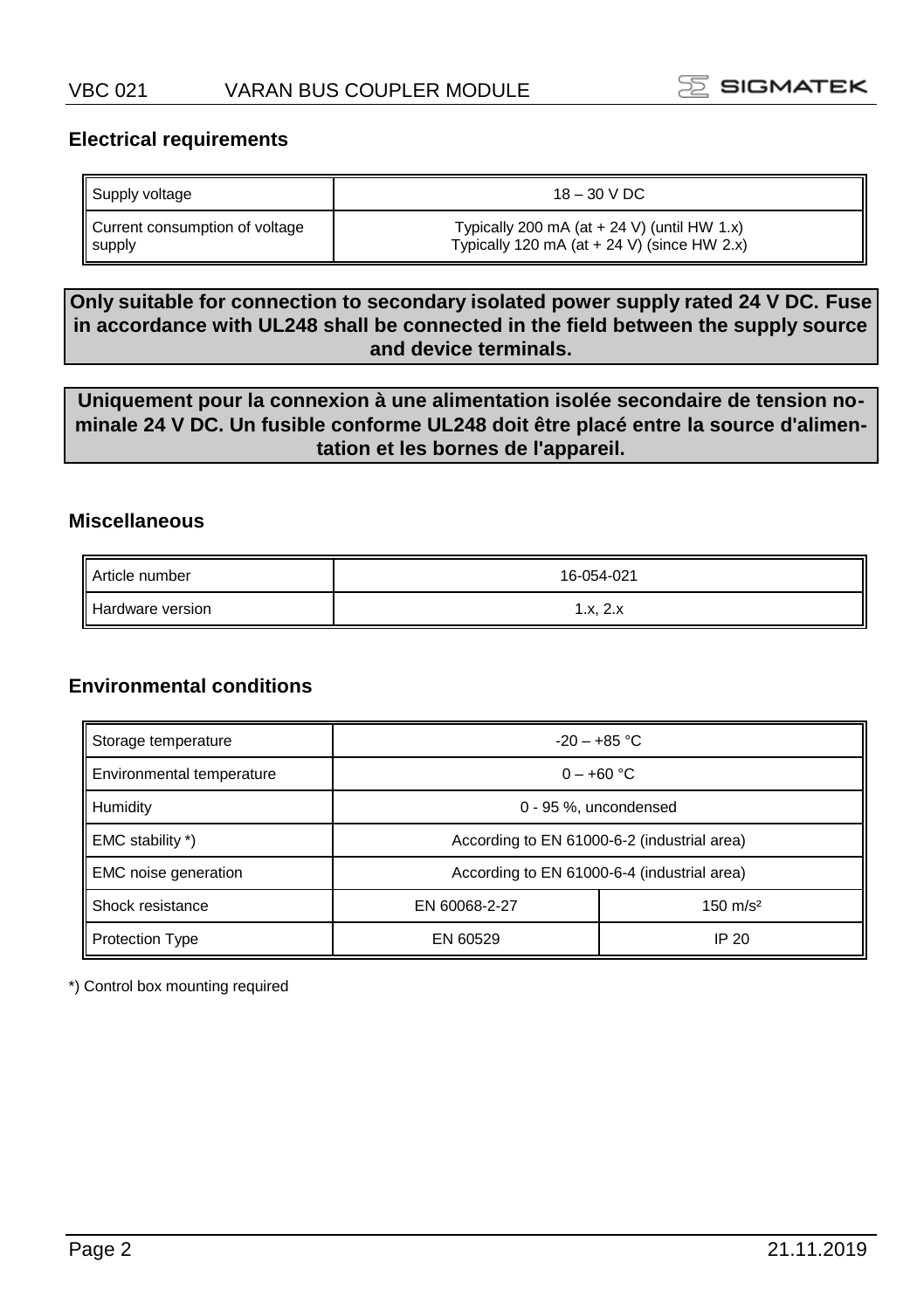

#### **Electrical requirements**

| Supply voltage                 | $18 - 30$ V DC                                |
|--------------------------------|-----------------------------------------------|
| Current consumption of voltage | Typically 200 mA (at $+$ 24 V) (until HW 1.x) |
| supply                         | Typically 120 mA (at $+$ 24 V) (since HW 2.x) |

**Only suitable for connection to secondary isolated power supply rated 24 V DC. Fuse in accordance with UL248 shall be connected in the field between the supply source and device terminals.**

**Uniquement pour la connexion à une alimentation isolée secondaire de tension nominale 24 V DC. Un fusible conforme UL248 doit être placé entre la source d'alimentation et les bornes de l'appareil.**

#### **Miscellaneous**

| Article number   | 16-054-021 |
|------------------|------------|
| Hardware version | 1.x, 2.x   |

#### **Environmental conditions**

| Storage temperature         | $-20 - +85$ °C                              |       |
|-----------------------------|---------------------------------------------|-------|
| Environmental temperature   | $0 - +60$ °C                                |       |
| Humidity                    | 0 - 95 %, uncondensed                       |       |
| EMC stability *)            | According to EN 61000-6-2 (industrial area) |       |
| <b>EMC</b> noise generation | According to EN 61000-6-4 (industrial area) |       |
| Shock resistance            | EN 60068-2-27                               |       |
| <b>Protection Type</b>      | EN 60529                                    | IP 20 |

\*) Control box mounting required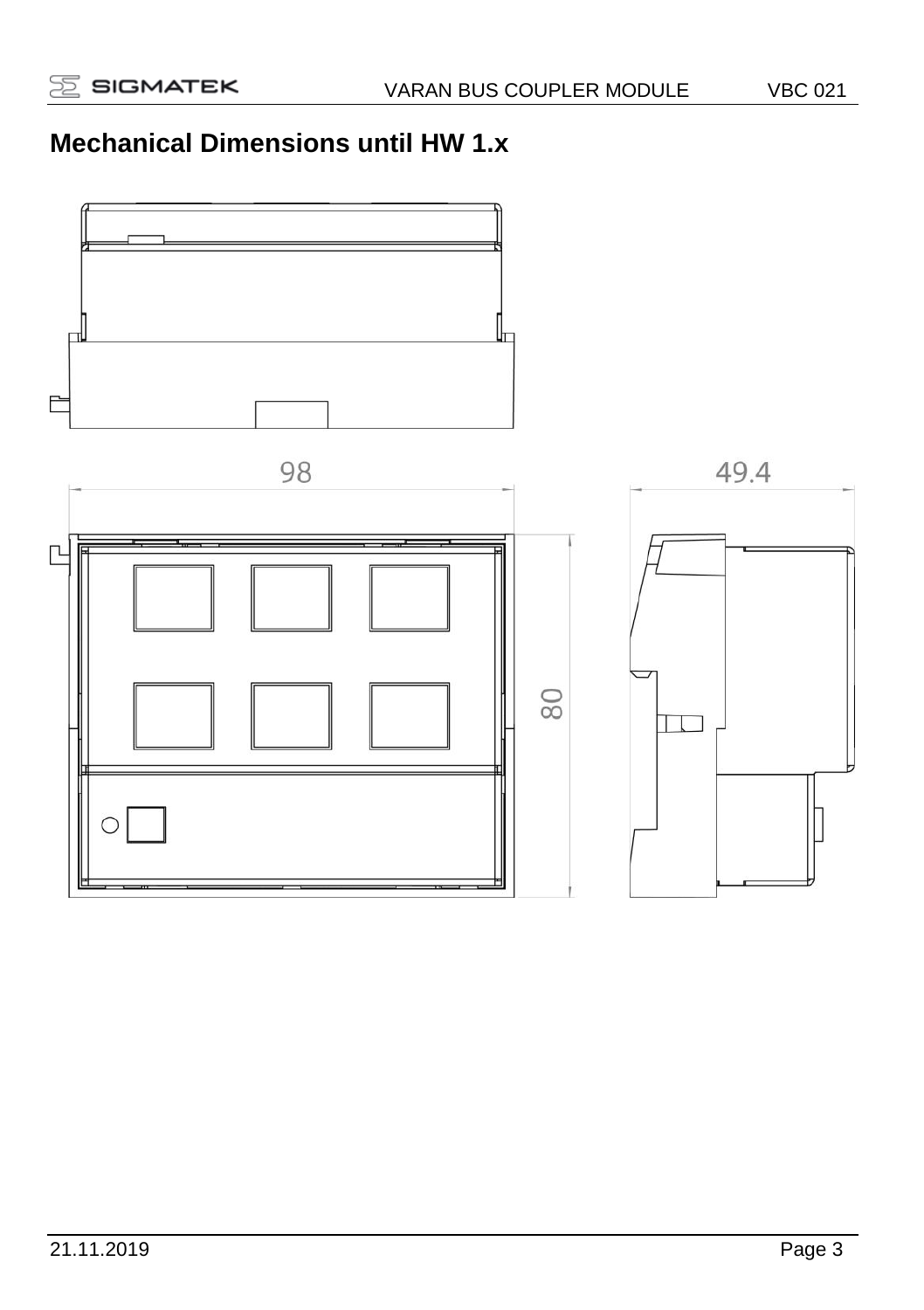# **Mechanical Dimensions until HW 1.x**

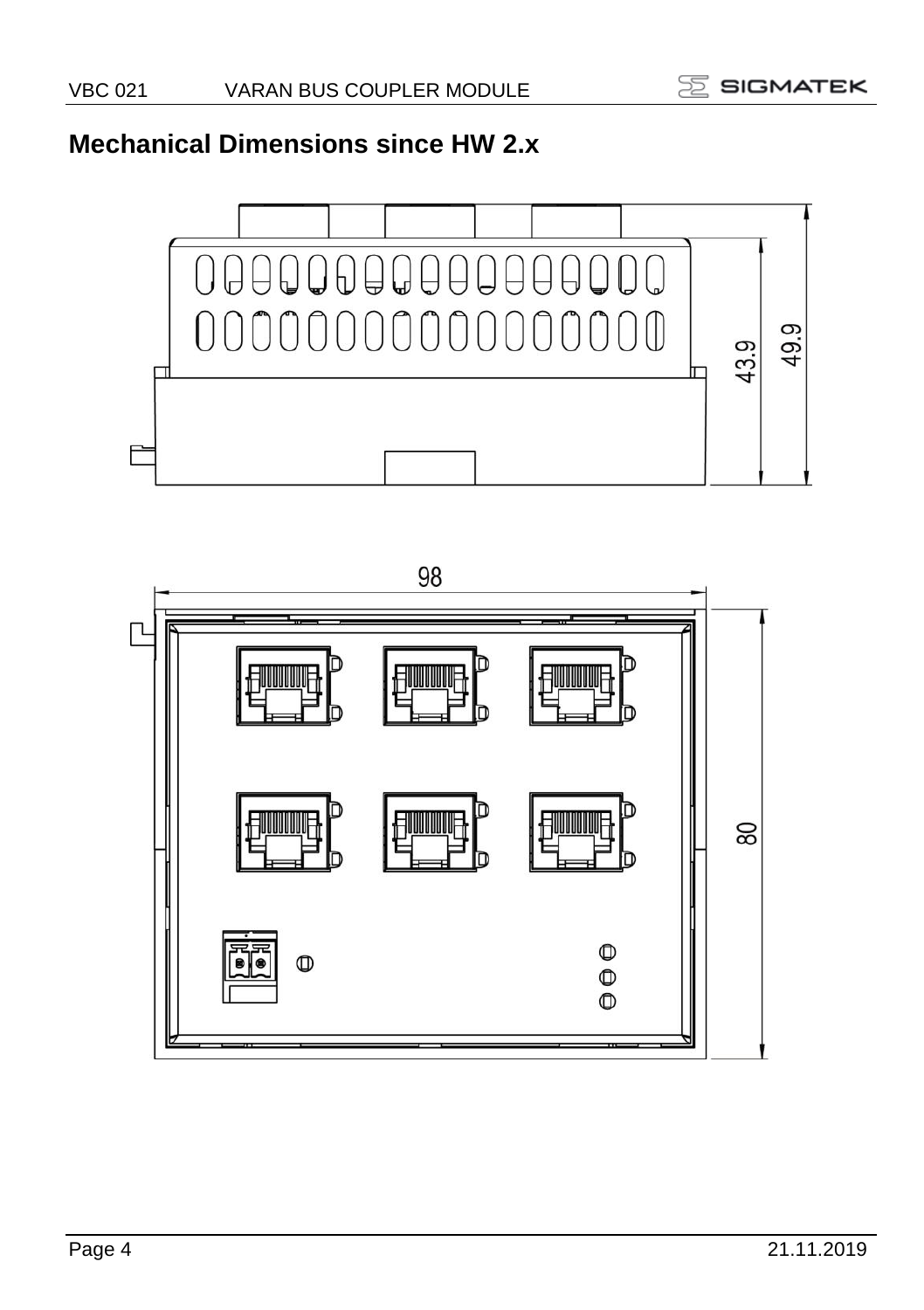# **Mechanical Dimensions since HW 2.x**



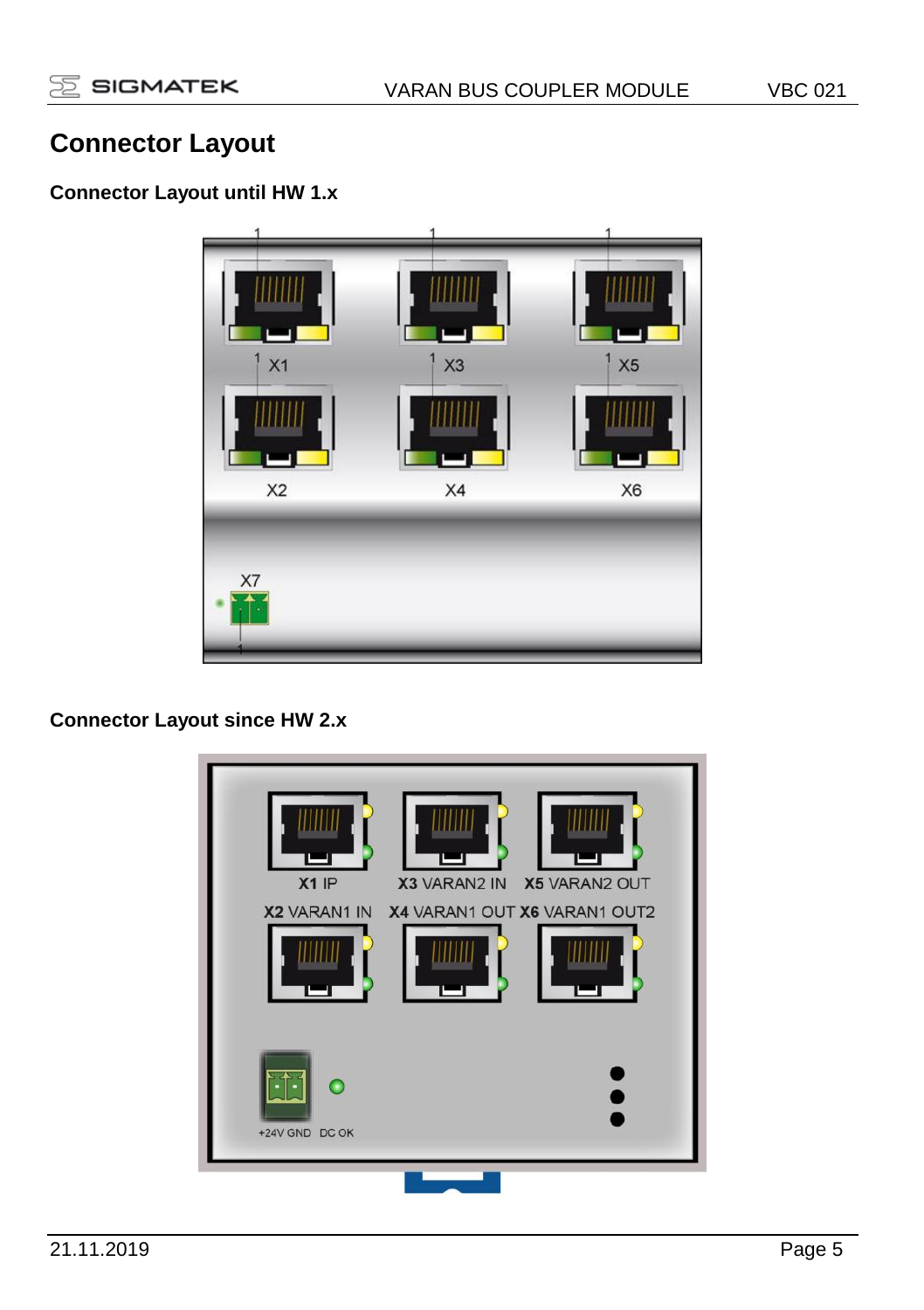# **Connector Layout**

### **Connector Layout until HW 1.x**



**Connector Layout since HW 2.x**

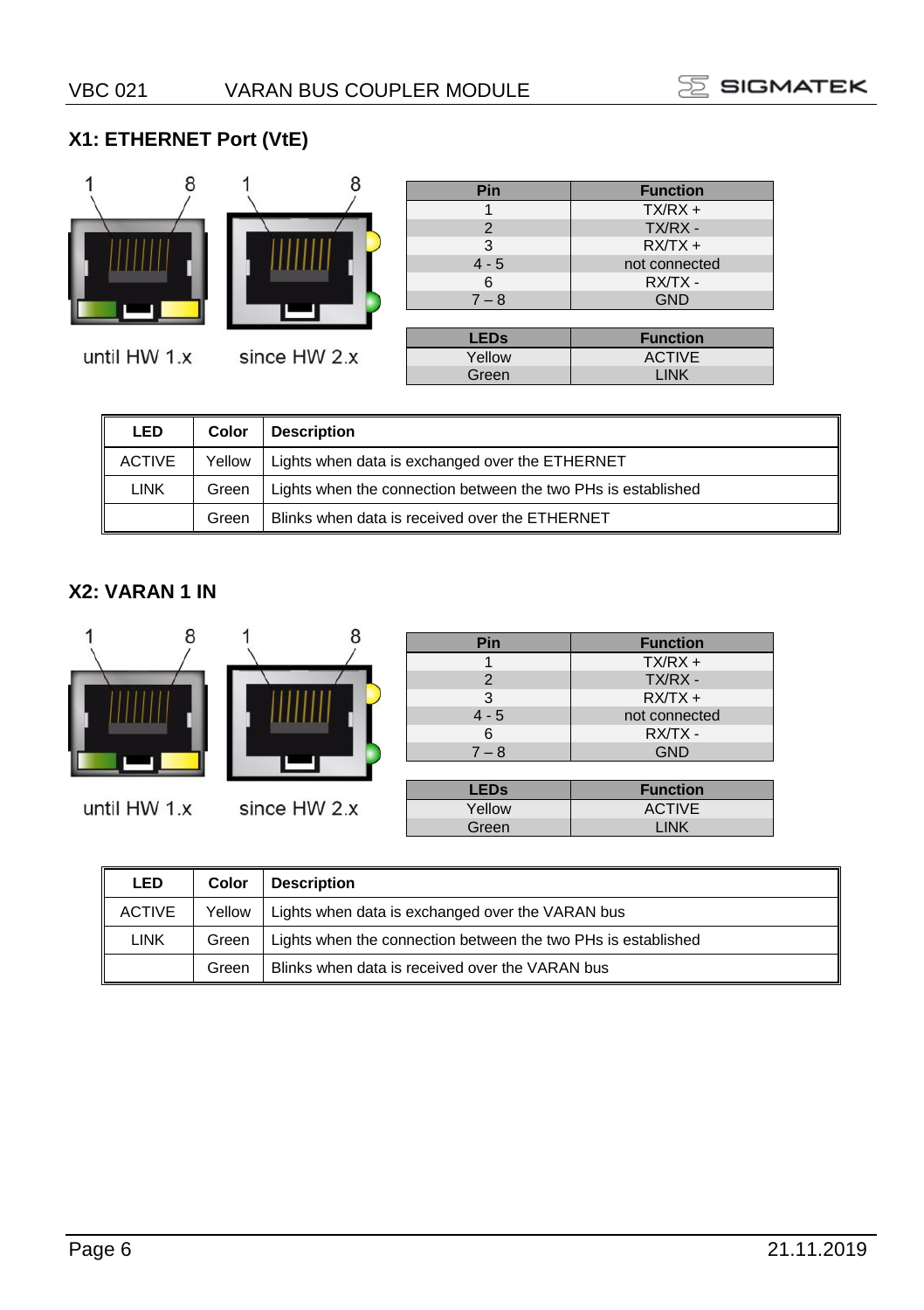#### **X1: ETHERNET Port (VtE)**



until HW 1.x



| Pin            | <b>Function</b> |
|----------------|-----------------|
|                | $TX/RX +$       |
| $\overline{2}$ | TX/RX -         |
| 3              | $RXTX +$        |
| $4 - 5$        | not connected   |
| 6              | RX/TX-          |
| $7 - 8$        | <b>GND</b>      |
|                |                 |
| <b>LEDs</b>    | <b>Function</b> |
| Yellow         | <b>ACTIVE</b>   |
| Green          | <b>LINK</b>     |

| LED           | Color  | <b>Description</b>                                            |
|---------------|--------|---------------------------------------------------------------|
| <b>ACTIVE</b> | Yellow | Lights when data is exchanged over the ETHERNET               |
| LINK          | Green  | Lights when the connection between the two PHs is established |
|               | Green  | Blinks when data is received over the ETHERNET                |

#### **X2: VARAN 1 IN**



| <b>LED</b>    | Color  | <b>Description</b>                                            |
|---------------|--------|---------------------------------------------------------------|
| <b>ACTIVE</b> | Yellow | Lights when data is exchanged over the VARAN bus              |
| <b>LINK</b>   | Green  | Lights when the connection between the two PHs is established |
|               | Green  | Blinks when data is received over the VARAN bus               |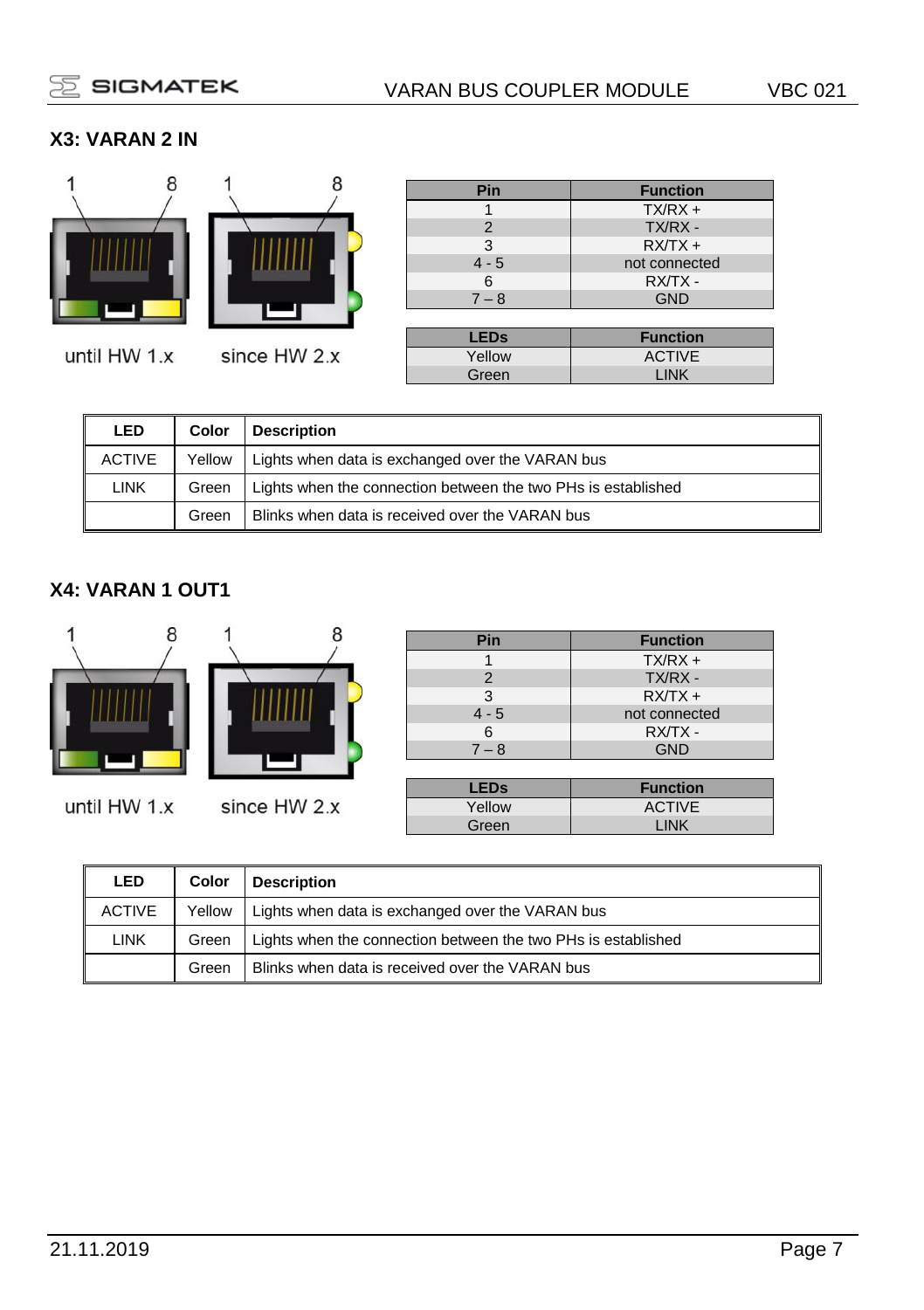### **X3: VARAN 2 IN**



until HW 1.x



8

| Pin                    | <b>Function</b> |
|------------------------|-----------------|
|                        | $TX/RX +$       |
| 2                      | TX/RX -         |
| 3                      | $RXTX +$        |
| $4 - 5$                | not connected   |
| 6                      | RX/TX -         |
| $7 - 8$                | <b>GND</b>      |
|                        |                 |
| <b>LED<sub>s</sub></b> | <b>Function</b> |
| Yellow                 | <b>ACTIVE</b>   |
| Green                  | <b>LINK</b>     |

| <b>LED</b>    | Color  | <b>Description</b>                                            |
|---------------|--------|---------------------------------------------------------------|
| <b>ACTIVE</b> | Yellow | Lights when data is exchanged over the VARAN bus              |
| LINK          | Green  | Lights when the connection between the two PHs is established |
|               | Green  | Blinks when data is received over the VARAN bus               |

#### **X4: VARAN 1 OUT1**



until HW 1.x

| since HW 2.x |  |
|--------------|--|

| Pin     | <b>Function</b> |
|---------|-----------------|
|         | $TX/RX +$       |
| 2       | TX/RX -         |
| 3       | $RXTX +$        |
| $4 - 5$ | not connected   |
| 6       | RX/TX -         |
| $7 - 8$ | <b>GND</b>      |
|         |                 |

| <b>LEDs</b> | <b>Function</b> |
|-------------|-----------------|
| Yellow      | <b>ACTIVE</b>   |
| Green       | LINK            |

| <b>LED</b> | Color  | <b>Description</b>                                            |
|------------|--------|---------------------------------------------------------------|
| ACTIVE     | Yellow | Lights when data is exchanged over the VARAN bus              |
| LINK       | Green  | Lights when the connection between the two PHs is established |
|            | Green  | Blinks when data is received over the VARAN bus               |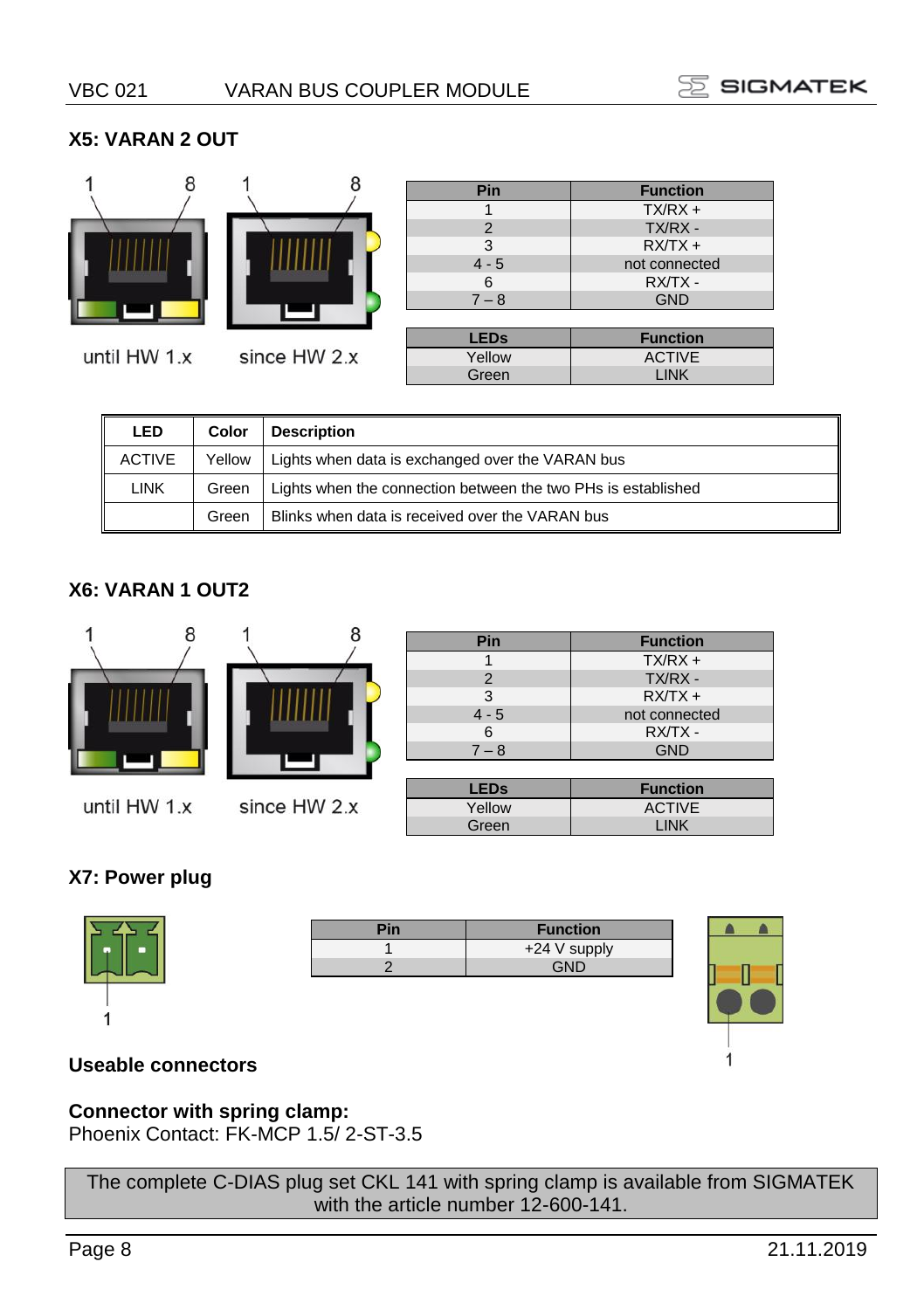#### **X5: VARAN 2 OUT**



| Pin                    | <b>Function</b> |
|------------------------|-----------------|
|                        | $TX/RX +$       |
| 2                      | TX/RX -         |
| 3                      | $RXTX +$        |
| $4 - 5$                | not connected   |
| 6                      | RX/TX-          |
| $7 - 8$                | <b>GND</b>      |
|                        |                 |
| <b>LED<sub>s</sub></b> | <b>Function</b> |
| Yellow                 | <b>ACTIVE</b>   |
| Green                  | LINK            |

| <b>LED</b>    | Color  | <b>Description</b>                                            |
|---------------|--------|---------------------------------------------------------------|
| <b>ACTIVE</b> | Yellow | Lights when data is exchanged over the VARAN bus              |
| <b>LINK</b>   | Green  | Lights when the connection between the two PHs is established |
|               | Green  | Blinks when data is received over the VARAN bus               |

#### **X6: VARAN 1 OUT2**



| Pin     | <b>Function</b> |
|---------|-----------------|
|         | $TX/RX +$       |
| 2       | TX/RX -         |
| 3       | $RXTX +$        |
| $4 - 5$ | not connected   |
| 6       | RX/TX -         |
| $7 - 8$ | <b>GND</b>      |
|         |                 |

| LEDs   | <b>Function</b> |
|--------|-----------------|
| Yellow | <b>ACTIVE</b>   |
| Green  | <b>INK</b>      |

#### **X7: Power plug**

| <b>Function</b> |
|-----------------|
| +24 V supply    |
| GND             |
|                 |



#### **Useable connectors**

#### **Connector with spring clamp:**

Phoenix Contact: FK-MCP 1.5/ 2-ST-3.5

The complete C-DIAS plug set CKL 141 with spring clamp is available from SIGMATEK with the article number 12-600-141.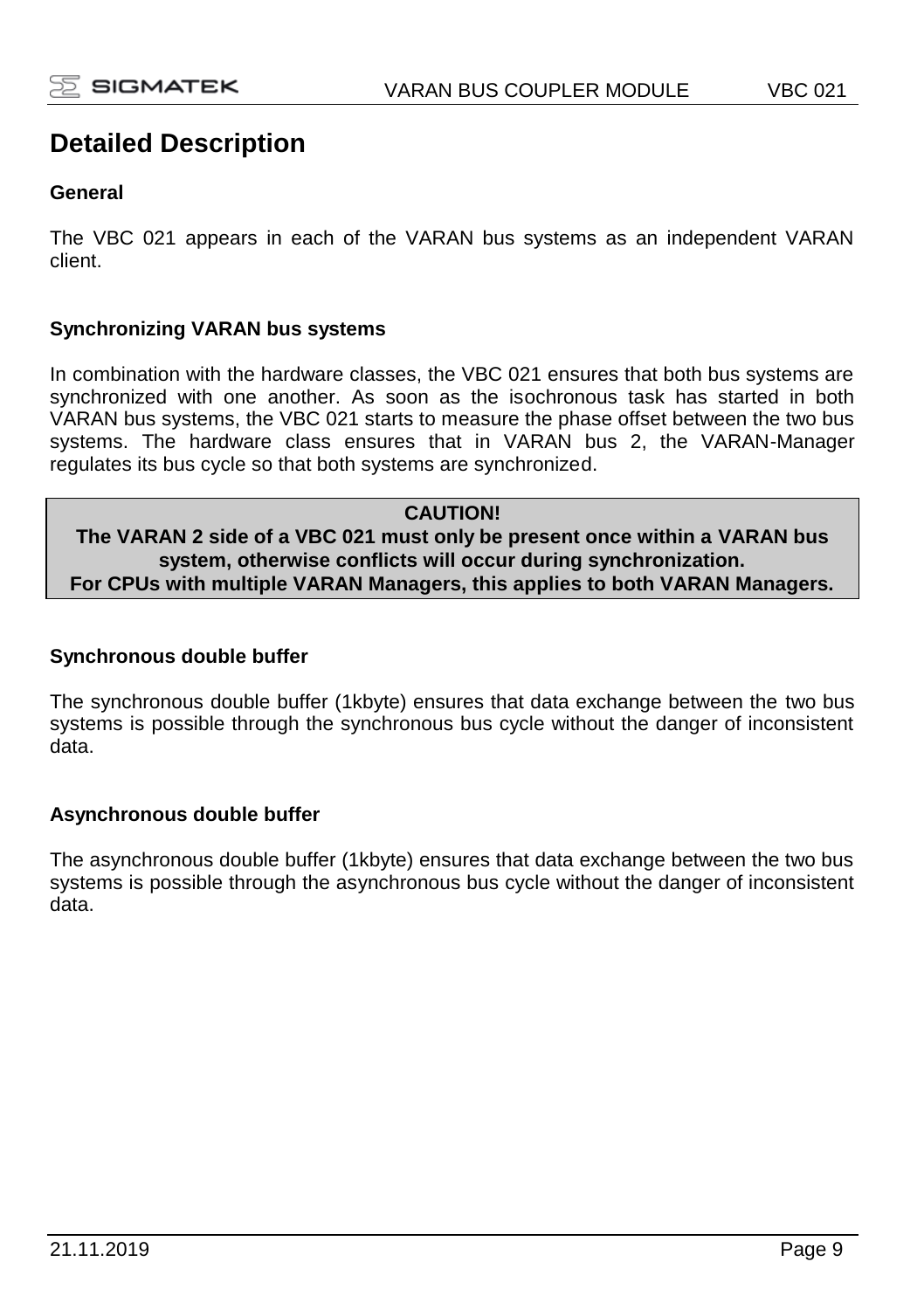# **Detailed Description**

#### **General**

The VBC 021 appears in each of the VARAN bus systems as an independent VARAN client.

#### **Synchronizing VARAN bus systems**

In combination with the hardware classes, the VBC 021 ensures that both bus systems are synchronized with one another. As soon as the isochronous task has started in both VARAN bus systems, the VBC 021 starts to measure the phase offset between the two bus systems. The hardware class ensures that in VARAN bus 2, the VARAN-Manager regulates its bus cycle so that both systems are synchronized.

#### **CAUTION! The VARAN 2 side of a VBC 021 must only be present once within a VARAN bus system, otherwise conflicts will occur during synchronization. For CPUs with multiple VARAN Managers, this applies to both VARAN Managers.**

#### **Synchronous double buffer**

The synchronous double buffer (1kbyte) ensures that data exchange between the two bus systems is possible through the synchronous bus cycle without the danger of inconsistent data.

#### **Asynchronous double buffer**

The asynchronous double buffer (1kbyte) ensures that data exchange between the two bus systems is possible through the asynchronous bus cycle without the danger of inconsistent data.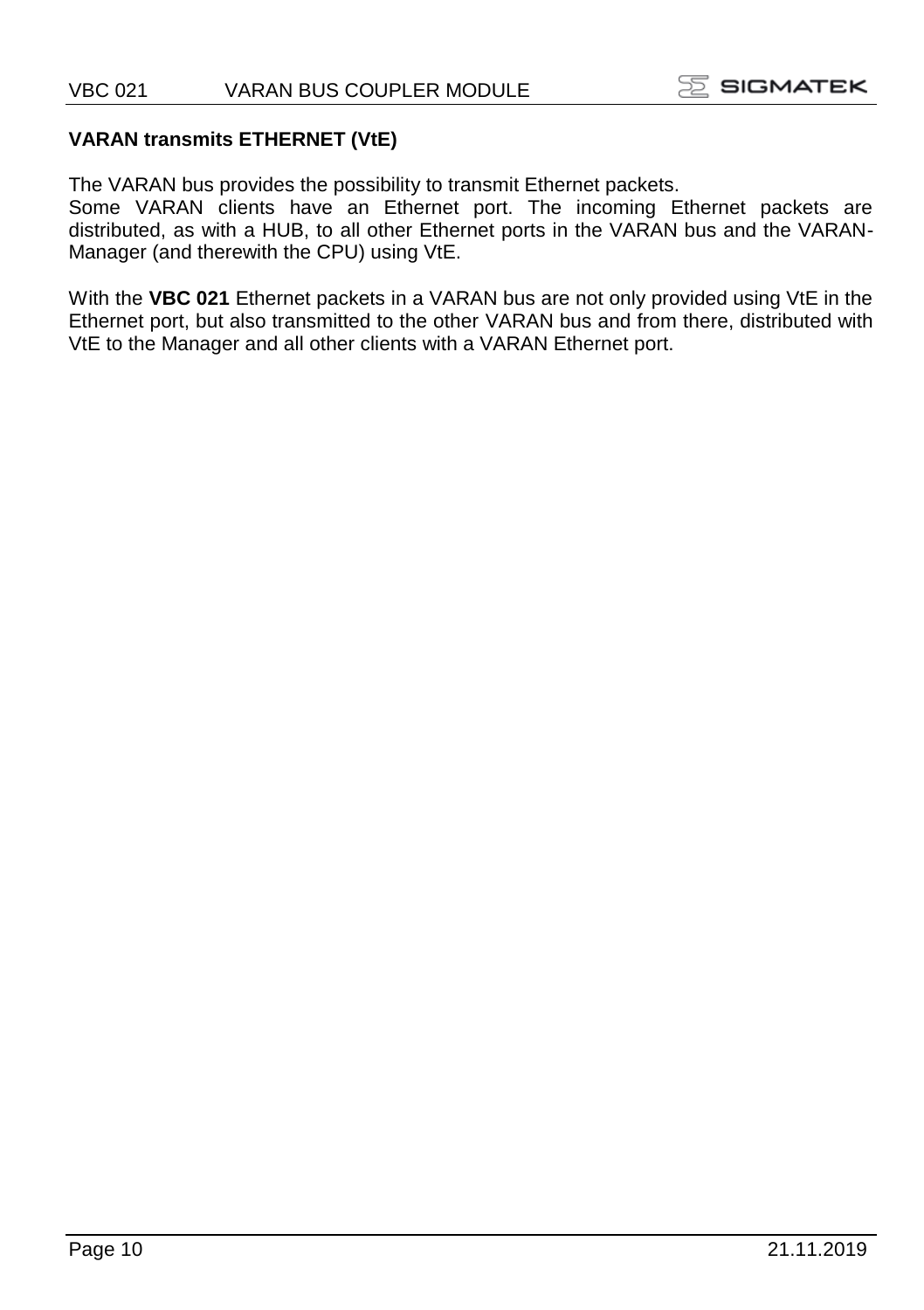#### **VARAN transmits ETHERNET (VtE)**

The VARAN bus provides the possibility to transmit Ethernet packets.

Some VARAN clients have an Ethernet port. The incoming Ethernet packets are distributed, as with a HUB, to all other Ethernet ports in the VARAN bus and the VARAN-Manager (and therewith the CPU) using VtE.

With the **VBC 021** Ethernet packets in a VARAN bus are not only provided using VtE in the Ethernet port, but also transmitted to the other VARAN bus and from there, distributed with VtE to the Manager and all other clients with a VARAN Ethernet port.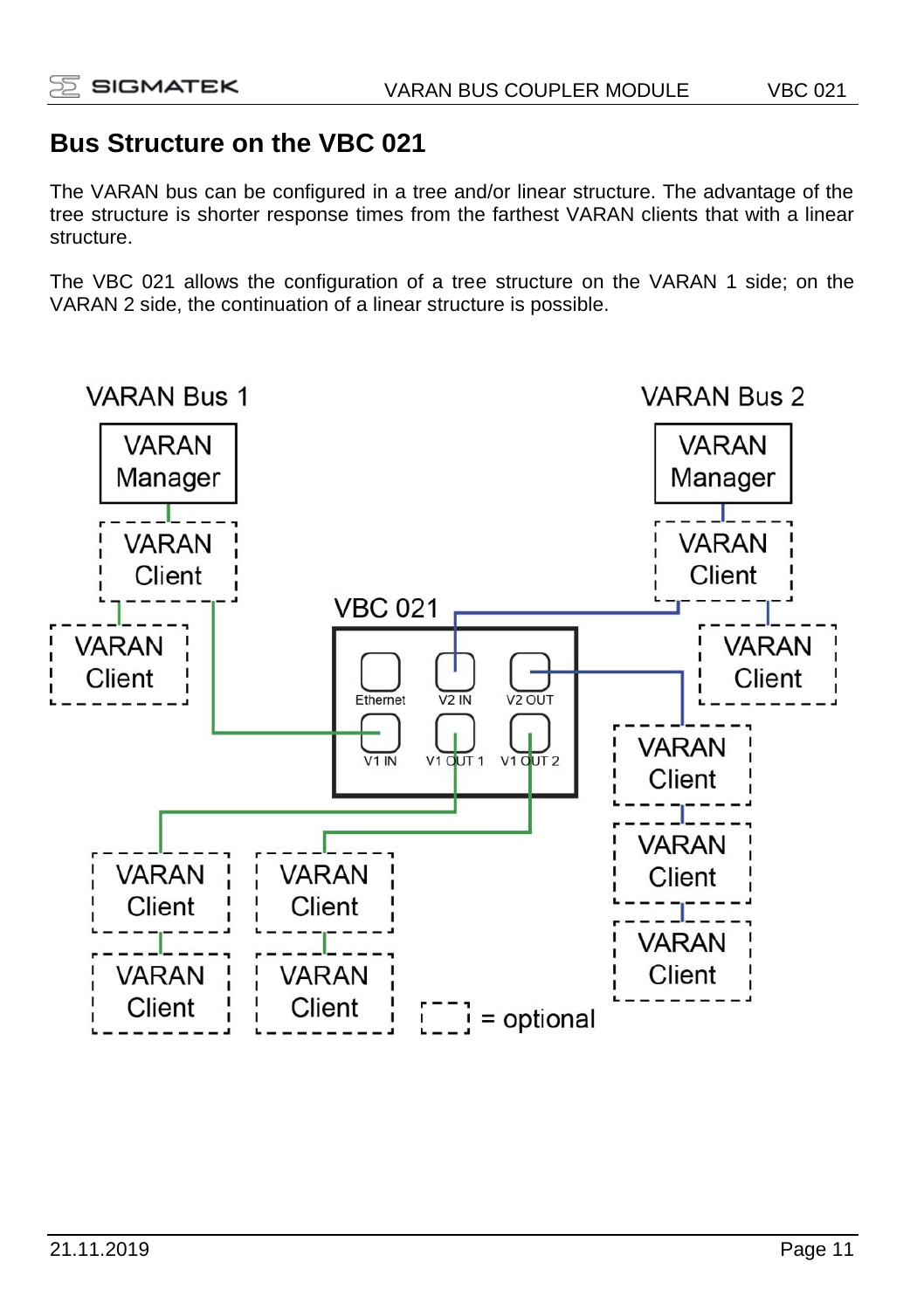## **Bus Structure on the VBC 021**

The VARAN bus can be configured in a tree and/or linear structure. The advantage of the tree structure is shorter response times from the farthest VARAN clients that with a linear structure.

The VBC 021 allows the configuration of a tree structure on the VARAN 1 side; on the VARAN 2 side, the continuation of a linear structure is possible.

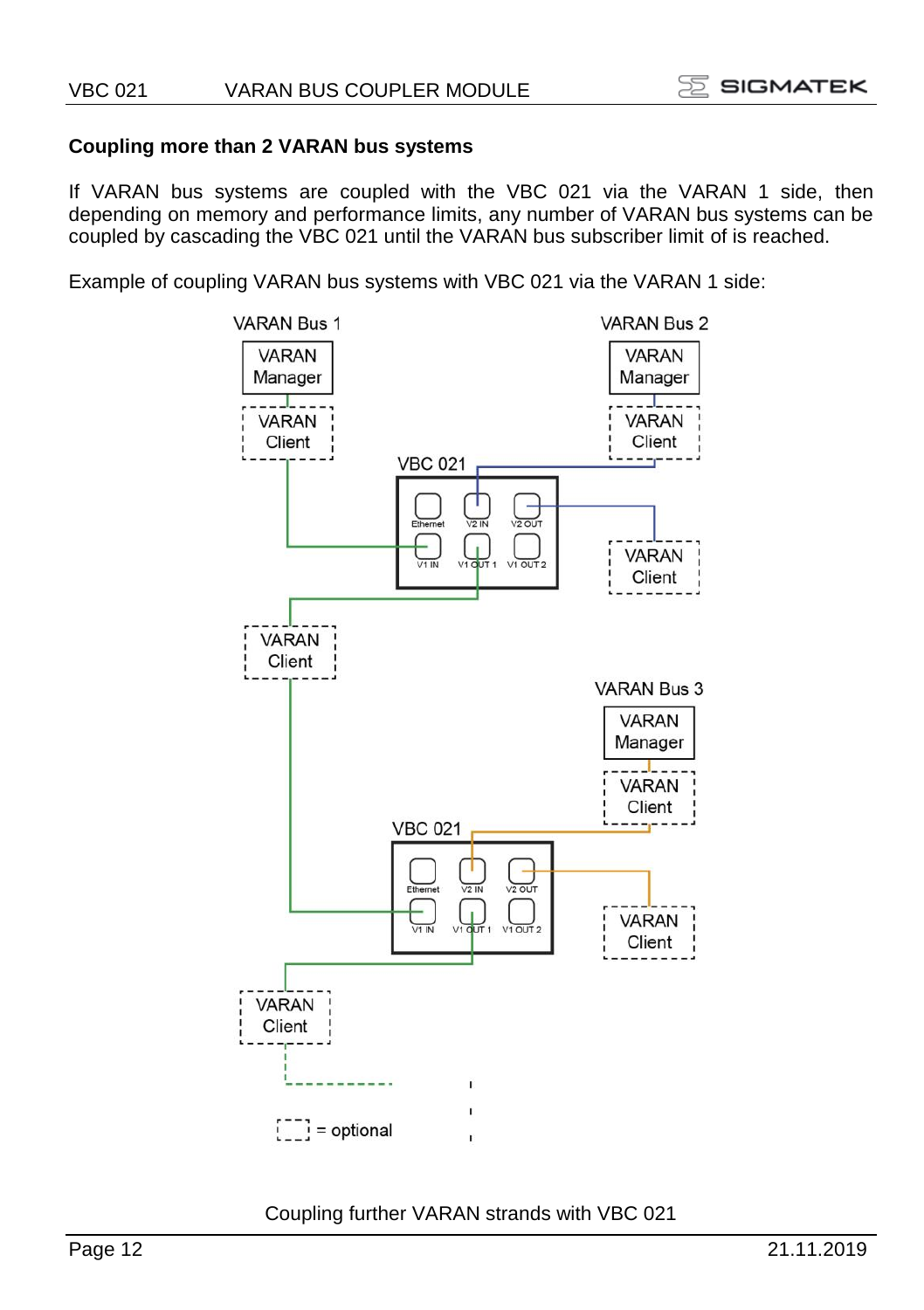#### **Coupling more than 2 VARAN bus systems**

If VARAN bus systems are coupled with the VBC 021 via the VARAN 1 side, then depending on memory and performance limits, any number of VARAN bus systems can be coupled by cascading the VBC 021 until the VARAN bus subscriber limit of is reached.

Example of coupling VARAN bus systems with VBC 021 via the VARAN 1 side:



Coupling further VARAN strands with VBC 021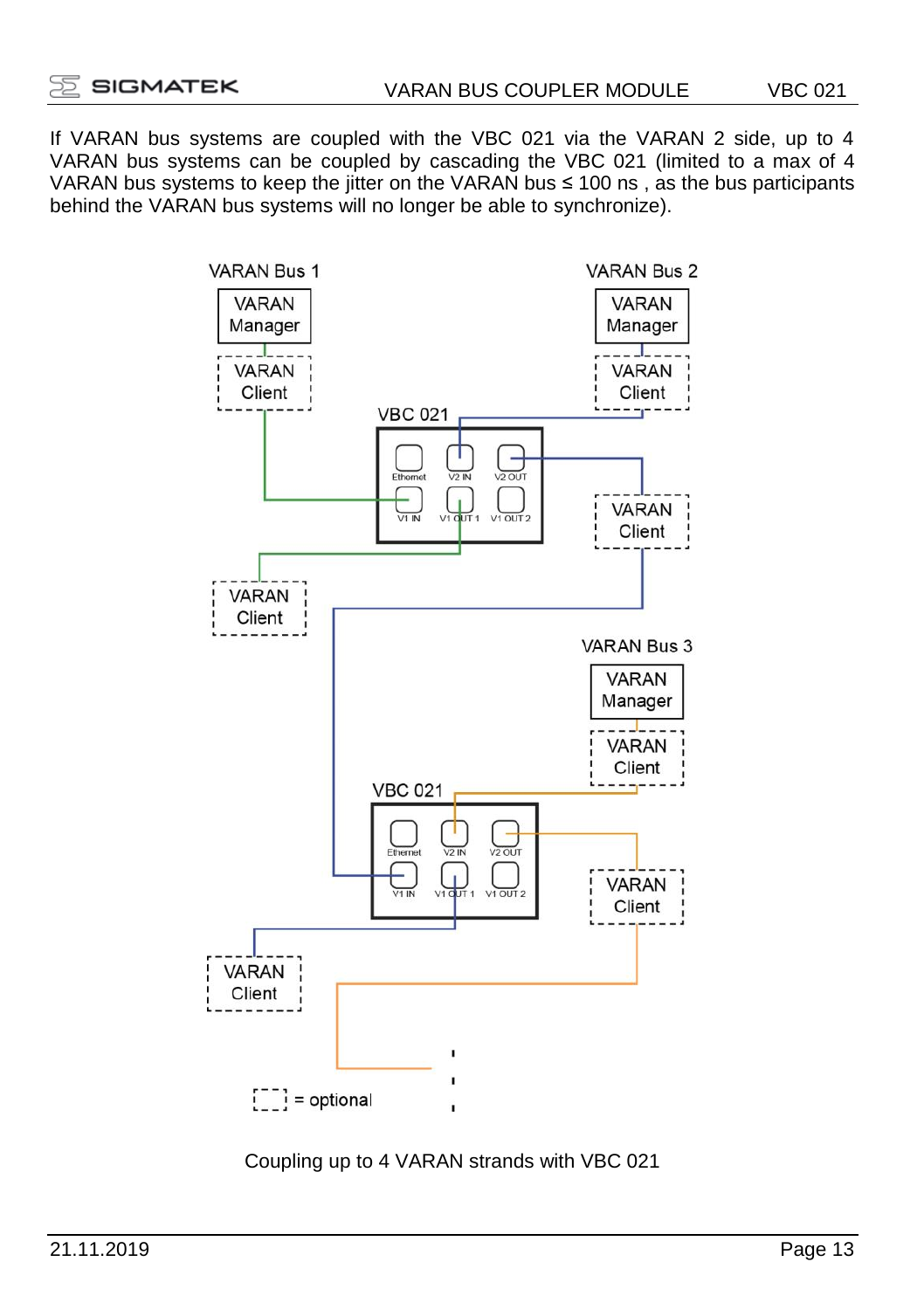If VARAN bus systems are coupled with the VBC 021 via the VARAN 2 side, up to 4 VARAN bus systems can be coupled by cascading the VBC 021 (limited to a max of 4 VARAN bus systems to keep the jitter on the VARAN bus ≤ 100 ns , as the bus participants behind the VARAN bus systems will no longer be able to synchronize).



Coupling up to 4 VARAN strands with VBC 021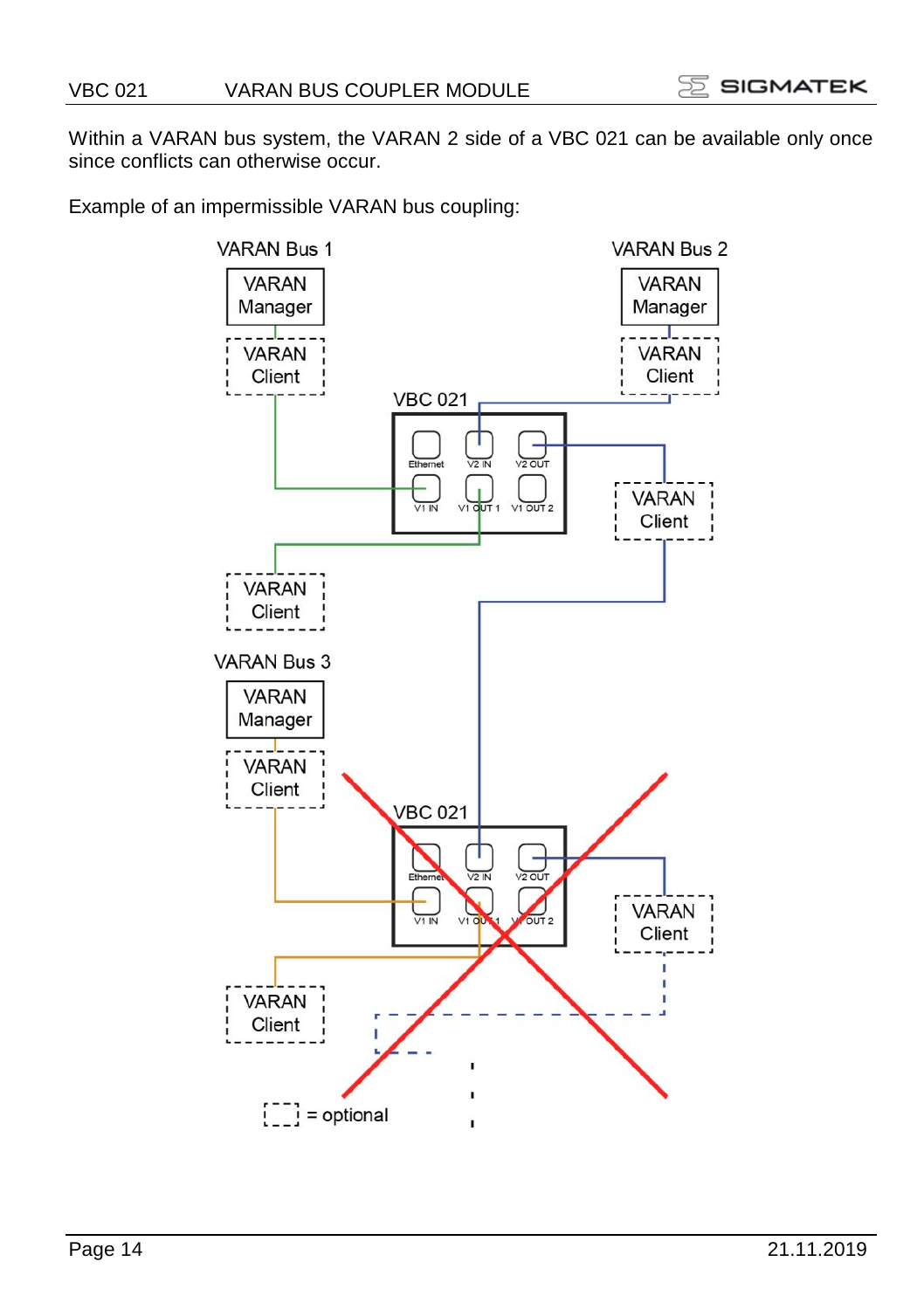Within a VARAN bus system, the VARAN 2 side of a VBC 021 can be available only once since conflicts can otherwise occur.

Example of an impermissible VARAN bus coupling:

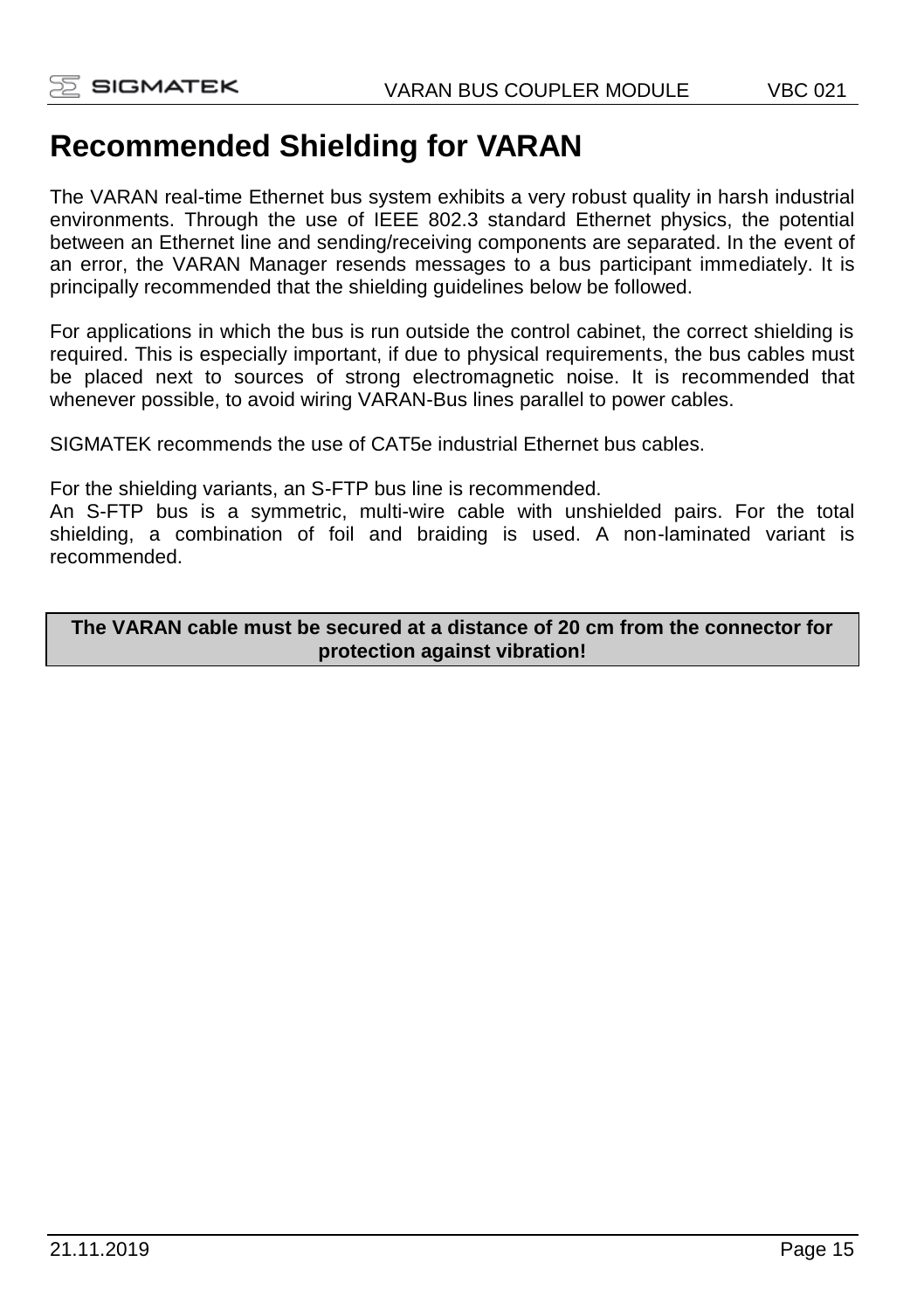# **Recommended Shielding for VARAN**

The VARAN real-time Ethernet bus system exhibits a very robust quality in harsh industrial environments. Through the use of IEEE 802.3 standard Ethernet physics, the potential between an Ethernet line and sending/receiving components are separated. In the event of an error, the VARAN Manager resends messages to a bus participant immediately. It is principally recommended that the shielding guidelines below be followed.

For applications in which the bus is run outside the control cabinet, the correct shielding is required. This is especially important, if due to physical requirements, the bus cables must be placed next to sources of strong electromagnetic noise. It is recommended that whenever possible, to avoid wiring VARAN-Bus lines parallel to power cables.

SIGMATEK recommends the use of CAT5e industrial Ethernet bus cables.

For the shielding variants, an S-FTP bus line is recommended.

An S-FTP bus is a symmetric, multi-wire cable with unshielded pairs. For the total shielding, a combination of foil and braiding is used. A non-laminated variant is recommended.

**The VARAN cable must be secured at a distance of 20 cm from the connector for protection against vibration!**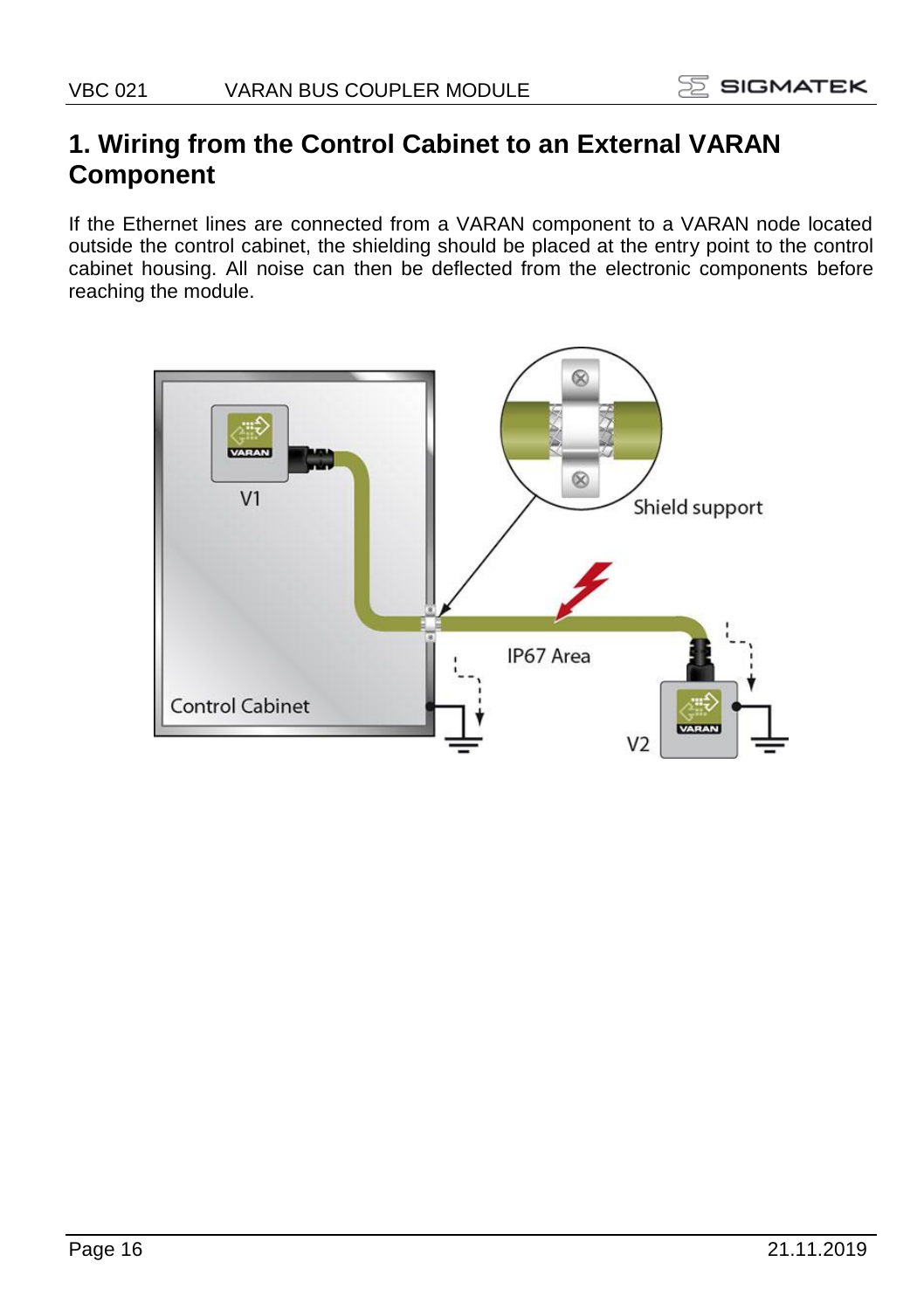# **1. Wiring from the Control Cabinet to an External VARAN Component**

If the Ethernet lines are connected from a VARAN component to a VARAN node located outside the control cabinet, the shielding should be placed at the entry point to the control cabinet housing. All noise can then be deflected from the electronic components before reaching the module.

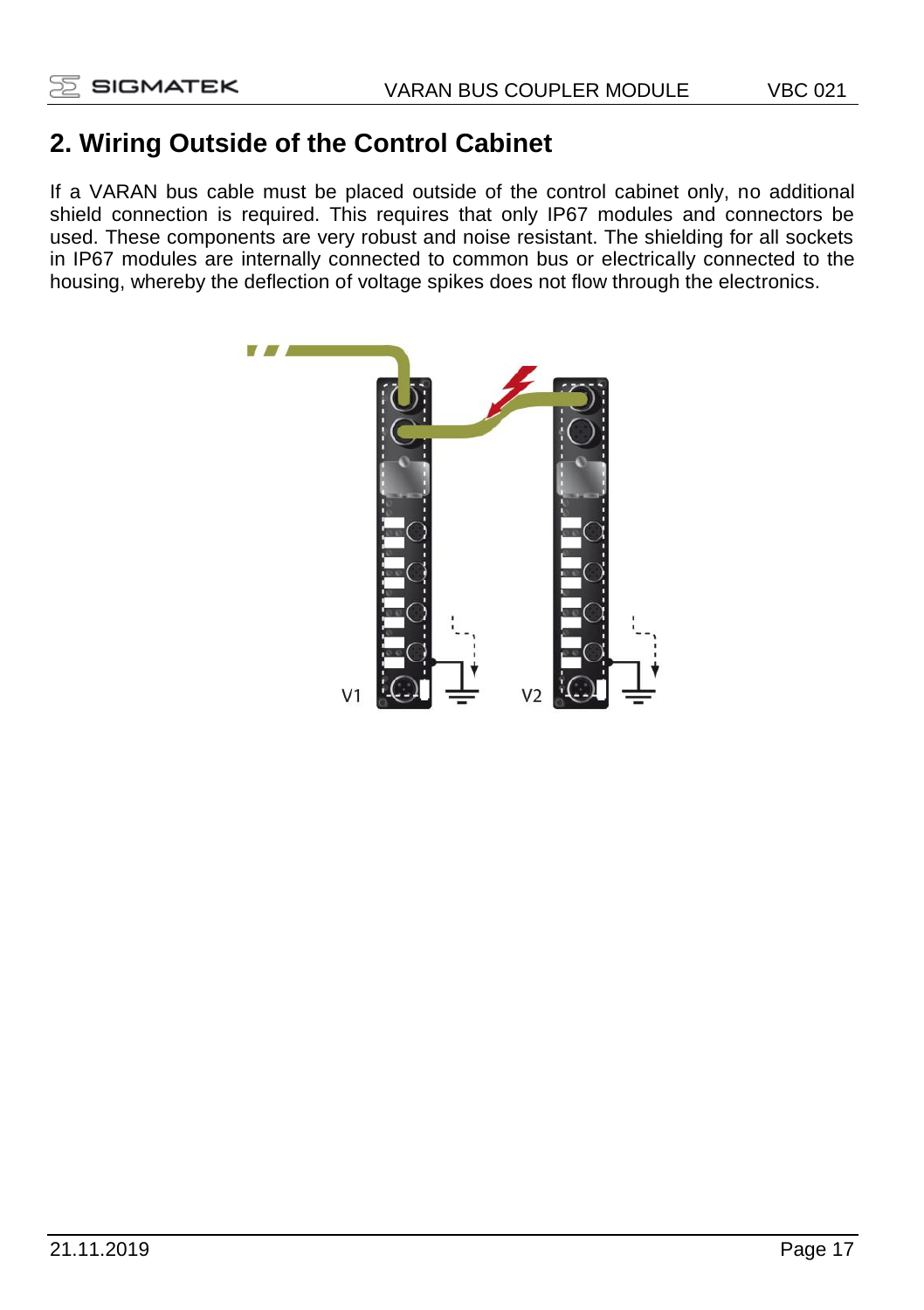# **2. Wiring Outside of the Control Cabinet**

If a VARAN bus cable must be placed outside of the control cabinet only, no additional shield connection is required. This requires that only IP67 modules and connectors be used. These components are very robust and noise resistant. The shielding for all sockets in IP67 modules are internally connected to common bus or electrically connected to the housing, whereby the deflection of voltage spikes does not flow through the electronics.

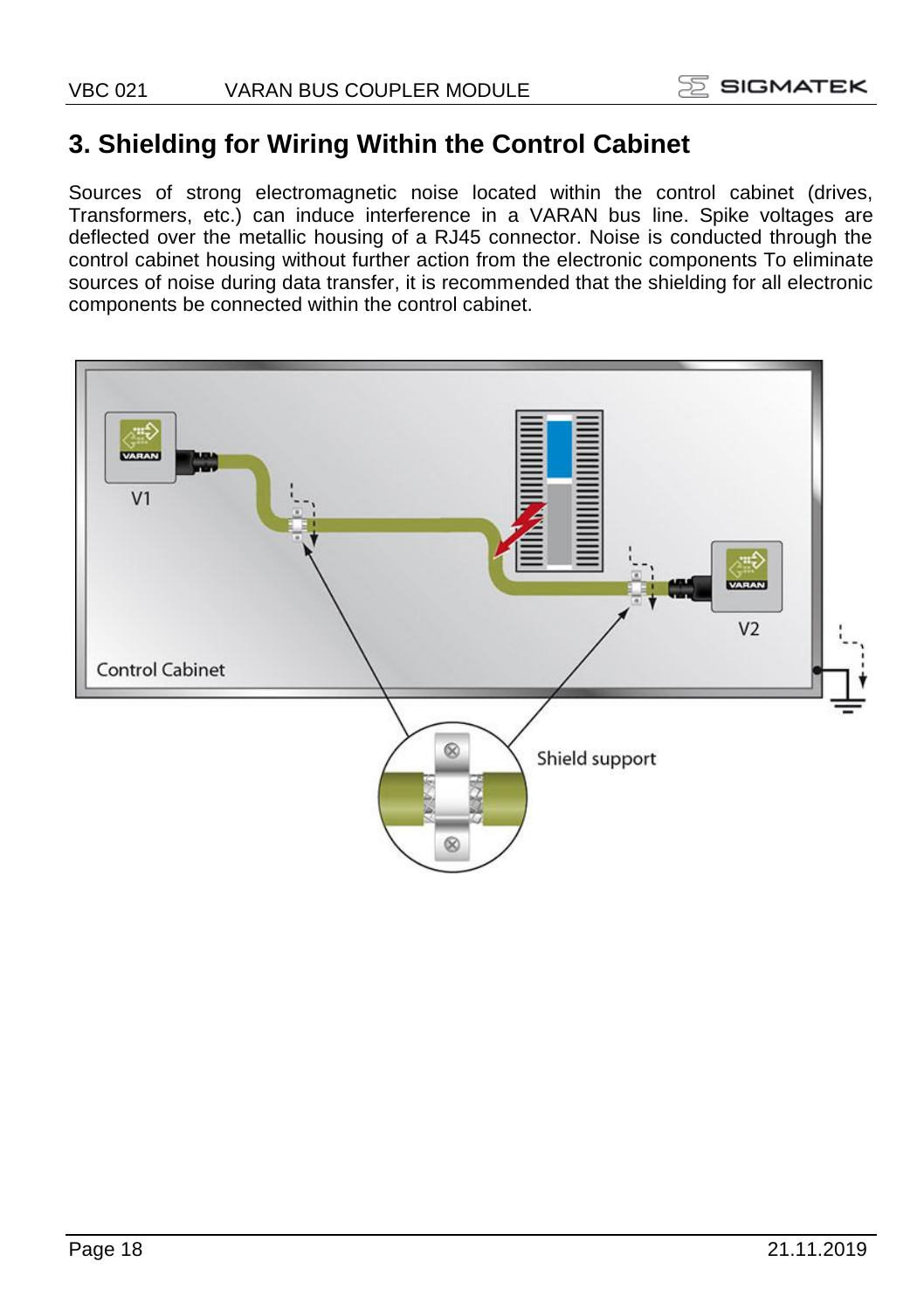## **3. Shielding for Wiring Within the Control Cabinet**

Sources of strong electromagnetic noise located within the control cabinet (drives, Transformers, etc.) can induce interference in a VARAN bus line. Spike voltages are deflected over the metallic housing of a RJ45 connector. Noise is conducted through the control cabinet housing without further action from the electronic components To eliminate sources of noise during data transfer, it is recommended that the shielding for all electronic components be connected within the control cabinet.

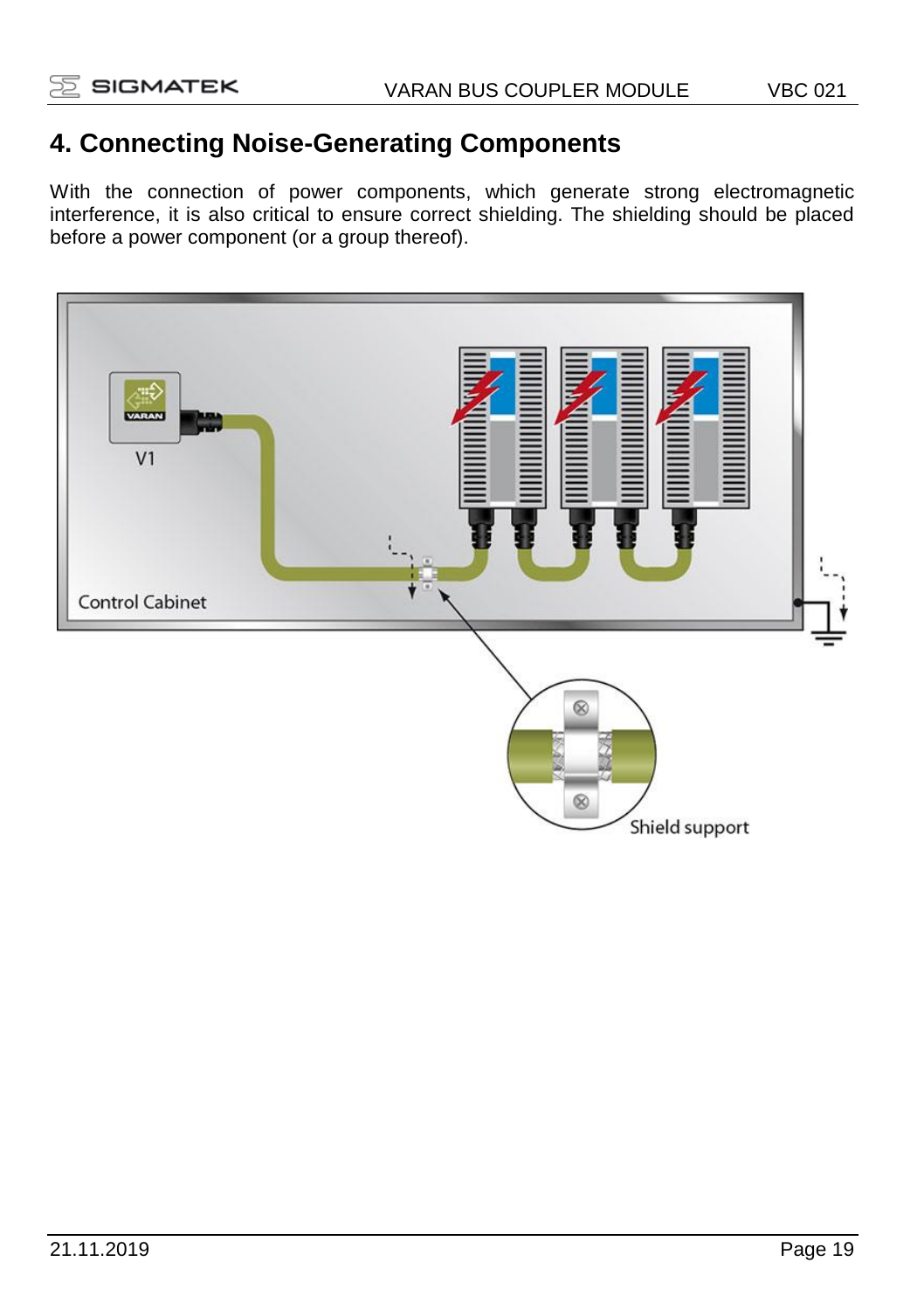# **4. Connecting Noise-Generating Components**

With the connection of power components, which generate strong electromagnetic interference, it is also critical to ensure correct shielding. The shielding should be placed before a power component (or a group thereof).